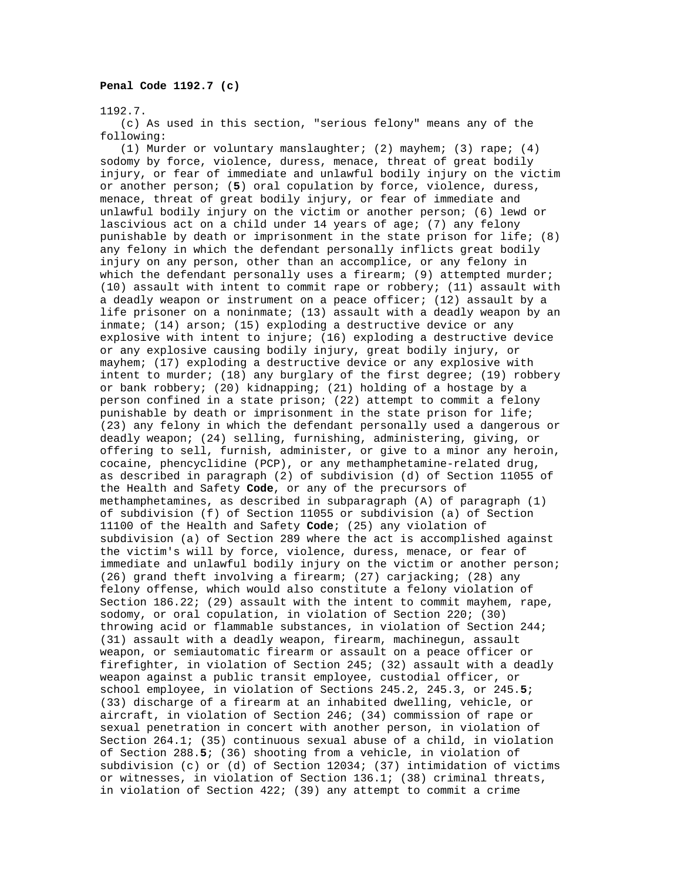## 1192.7.

 (c) As used in this section, "serious felony" means any of the following:

(1) Murder or voluntary manslaughter; (2) mayhem; (3) rape; (4) sodomy by force, violence, duress, menace, threat of great bodily injury, or fear of immediate and unlawful bodily injury on the victim or another person; (**5**) oral copulation by force, violence, duress, menace, threat of great bodily injury, or fear of immediate and unlawful bodily injury on the victim or another person; (6) lewd or lascivious act on a child under 14 years of age; (7) any felony punishable by death or imprisonment in the state prison for life; (8) any felony in which the defendant personally inflicts great bodily injury on any person, other than an accomplice, or any felony in which the defendant personally uses a firearm; (9) attempted murder; (10) assault with intent to commit rape or robbery; (11) assault with a deadly weapon or instrument on a peace officer; (12) assault by a life prisoner on a noninmate; (13) assault with a deadly weapon by an inmate; (14) arson; (15) exploding a destructive device or any explosive with intent to injure; (16) exploding a destructive device or any explosive causing bodily injury, great bodily injury, or mayhem; (17) exploding a destructive device or any explosive with intent to murder; (18) any burglary of the first degree; (19) robbery or bank robbery; (20) kidnapping; (21) holding of a hostage by a person confined in a state prison; (22) attempt to commit a felony punishable by death or imprisonment in the state prison for life; (23) any felony in which the defendant personally used a dangerous or deadly weapon; (24) selling, furnishing, administering, giving, or offering to sell, furnish, administer, or give to a minor any heroin, cocaine, phencyclidine (PCP), or any methamphetamine-related drug, as described in paragraph (2) of subdivision (d) of Section 11055 of the Health and Safety **Code**, or any of the precursors of methamphetamines, as described in subparagraph (A) of paragraph (1) of subdivision (f) of Section 11055 or subdivision (a) of Section 11100 of the Health and Safety **Code**; (25) any violation of subdivision (a) of Section 289 where the act is accomplished against the victim's will by force, violence, duress, menace, or fear of immediate and unlawful bodily injury on the victim or another person; (26) grand theft involving a firearm; (27) carjacking; (28) any felony offense, which would also constitute a felony violation of Section 186.22; (29) assault with the intent to commit mayhem, rape, sodomy, or oral copulation, in violation of Section 220; (30) throwing acid or flammable substances, in violation of Section 244; (31) assault with a deadly weapon, firearm, machinegun, assault weapon, or semiautomatic firearm or assault on a peace officer or firefighter, in violation of Section 245; (32) assault with a deadly weapon against a public transit employee, custodial officer, or school employee, in violation of Sections 245.2, 245.3, or 245.**5**; (33) discharge of a firearm at an inhabited dwelling, vehicle, or aircraft, in violation of Section 246; (34) commission of rape or sexual penetration in concert with another person, in violation of Section 264.1; (35) continuous sexual abuse of a child, in violation of Section 288.**5**; (36) shooting from a vehicle, in violation of subdivision (c) or (d) of Section 12034; (37) intimidation of victims or witnesses, in violation of Section 136.1; (38) criminal threats, in violation of Section 422; (39) any attempt to commit a crime